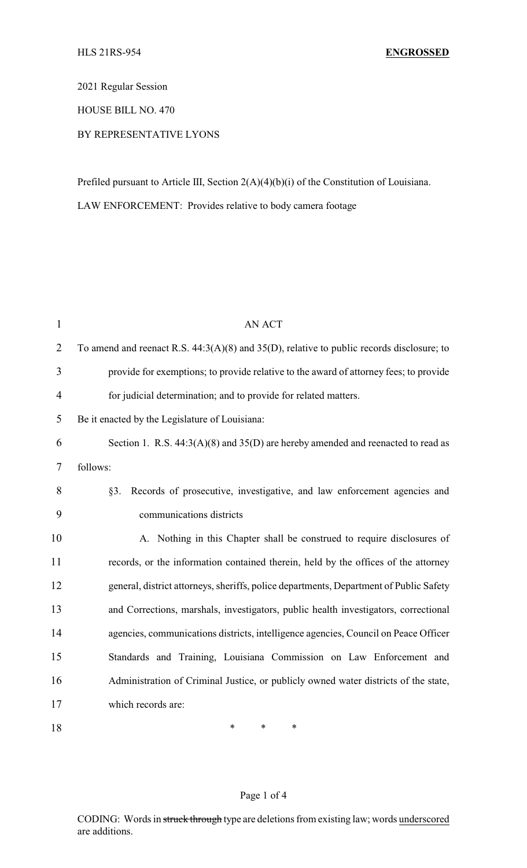2021 Regular Session

HOUSE BILL NO. 470

BY REPRESENTATIVE LYONS

Prefiled pursuant to Article III, Section 2(A)(4)(b)(i) of the Constitution of Louisiana.

LAW ENFORCEMENT: Provides relative to body camera footage

| $\mathbf{1}$   | <b>AN ACT</b>                                                                                  |
|----------------|------------------------------------------------------------------------------------------------|
| $\overline{2}$ | To amend and reenact R.S. $44:3(A)(8)$ and $35(D)$ , relative to public records disclosure; to |
| 3              | provide for exemptions; to provide relative to the award of attorney fees; to provide          |
| $\overline{4}$ | for judicial determination; and to provide for related matters.                                |
| 5              | Be it enacted by the Legislature of Louisiana:                                                 |
| 6              | Section 1. R.S. $44:3(A)(8)$ and $35(D)$ are hereby amended and reenacted to read as           |
| 7              | follows:                                                                                       |
| 8              | Records of prosecutive, investigative, and law enforcement agencies and<br>§3.                 |
| 9              | communications districts                                                                       |
| 10             | A. Nothing in this Chapter shall be construed to require disclosures of                        |
| 11             | records, or the information contained therein, held by the offices of the attorney             |
| 12             | general, district attorneys, sheriffs, police departments, Department of Public Safety         |
| 13             | and Corrections, marshals, investigators, public health investigators, correctional            |
| 14             | agencies, communications districts, intelligence agencies, Council on Peace Officer            |
| 15             | Standards and Training, Louisiana Commission on Law Enforcement and                            |
| 16             | Administration of Criminal Justice, or publicly owned water districts of the state,            |
| 17             | which records are:                                                                             |
| 18             | *<br>*<br>$\ast$                                                                               |

## Page 1 of 4

CODING: Words in struck through type are deletions from existing law; words underscored are additions.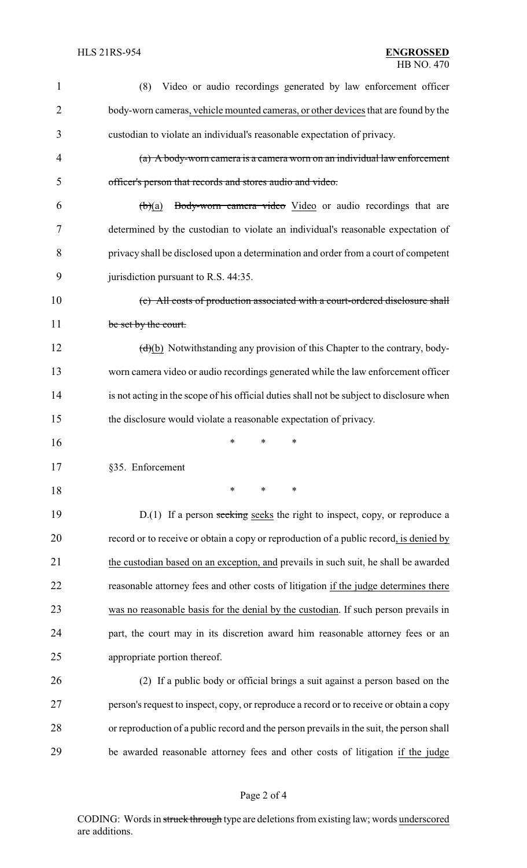| $\mathbf{1}$   | Video or audio recordings generated by law enforcement officer<br>(8)                     |
|----------------|-------------------------------------------------------------------------------------------|
| $\overline{2}$ | body-worn cameras, vehicle mounted cameras, or other devices that are found by the        |
| 3              | custodian to violate an individual's reasonable expectation of privacy.                   |
| $\overline{4}$ | (a) A body-worn camera is a camera worn on an individual law enforcement                  |
| 5              | officer's person that records and stores audio and video.                                 |
| 6              | Body-worn camera video Video or audio recordings that are<br>$\biguplus(a)$               |
| 7              | determined by the custodian to violate an individual's reasonable expectation of          |
| 8              | privacy shall be disclosed upon a determination and order from a court of competent       |
| 9              | jurisdiction pursuant to R.S. 44:35.                                                      |
| 10             | (c) All costs of production associated with a court-ordered disclosure shall              |
| 11             | be set by the court.                                                                      |
| 12             | $(d)(b)$ Notwithstanding any provision of this Chapter to the contrary, body-             |
| 13             | worn camera video or audio recordings generated while the law enforcement officer         |
| 14             | is not acting in the scope of his official duties shall not be subject to disclosure when |
| 15             | the disclosure would violate a reasonable expectation of privacy.                         |
| 16             | ∗<br>*<br>*                                                                               |
| 17             | §35. Enforcement                                                                          |
| 18             | ∗<br>*<br>$\ast$                                                                          |
| 19             | $D(1)$ If a person seeking seeks the right to inspect, copy, or reproduce a               |
| 20             | record or to receive or obtain a copy or reproduction of a public record, is denied by    |
| 21             | the custodian based on an exception, and prevails in such suit, he shall be awarded       |
| 22             | reasonable attorney fees and other costs of litigation if the judge determines there      |
| 23             | was no reasonable basis for the denial by the custodian. If such person prevails in       |
| 24             | part, the court may in its discretion award him reasonable attorney fees or an            |
| 25             | appropriate portion thereof.                                                              |
| 26             | (2) If a public body or official brings a suit against a person based on the              |
| 27             | person's request to inspect, copy, or reproduce a record or to receive or obtain a copy   |
| 28             | or reproduction of a public record and the person prevails in the suit, the person shall  |
| 29             | be awarded reasonable attorney fees and other costs of litigation if the judge            |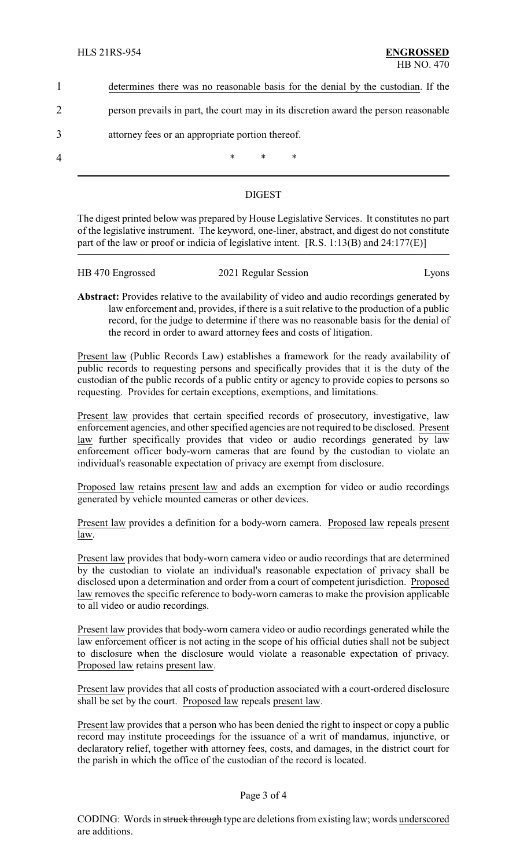|                | determines there was no reasonable basis for the denial by the custodian. If the     |  |  |  |
|----------------|--------------------------------------------------------------------------------------|--|--|--|
|                | person prevails in part, the court may in its discretion award the person reasonable |  |  |  |
| 3              | attorney fees or an appropriate portion thereof.                                     |  |  |  |
| $\overline{4}$ | $\ast$<br>∗<br>∗                                                                     |  |  |  |

## DIGEST

The digest printed below was prepared by House Legislative Services. It constitutes no part of the legislative instrument. The keyword, one-liner, abstract, and digest do not constitute part of the law or proof or indicia of legislative intent. [R.S. 1:13(B) and 24:177(E)]

| HB 470 Engrossed | 2021 Regular Session | Lyons |
|------------------|----------------------|-------|
|                  |                      |       |

**Abstract:** Provides relative to the availability of video and audio recordings generated by law enforcement and, provides, if there is a suit relative to the production of a public record, for the judge to determine if there was no reasonable basis for the denial of the record in order to award attorney fees and costs of litigation.

Present law (Public Records Law) establishes a framework for the ready availability of public records to requesting persons and specifically provides that it is the duty of the custodian of the public records of a public entity or agency to provide copies to persons so requesting. Provides for certain exceptions, exemptions, and limitations.

Present law provides that certain specified records of prosecutory, investigative, law enforcement agencies, and other specified agencies are not required to be disclosed. Present law further specifically provides that video or audio recordings generated by law enforcement officer body-worn cameras that are found by the custodian to violate an individual's reasonable expectation of privacy are exempt from disclosure.

Proposed law retains present law and adds an exemption for video or audio recordings generated by vehicle mounted cameras or other devices.

Present law provides a definition for a body-worn camera. Proposed law repeals present law.

Present law provides that body-worn camera video or audio recordings that are determined by the custodian to violate an individual's reasonable expectation of privacy shall be disclosed upon a determination and order from a court of competent jurisdiction. Proposed law removes the specific reference to body-worn cameras to make the provision applicable to all video or audio recordings.

Present law provides that body-worn camera video or audio recordings generated while the law enforcement officer is not acting in the scope of his official duties shall not be subject to disclosure when the disclosure would violate a reasonable expectation of privacy. Proposed law retains present law.

Present law provides that all costs of production associated with a court-ordered disclosure shall be set by the court. Proposed law repeals present law.

Present law provides that a person who has been denied the right to inspect or copy a public record may institute proceedings for the issuance of a writ of mandamus, injunctive, or declaratory relief, together with attorney fees, costs, and damages, in the district court for the parish in which the office of the custodian of the record is located.

## Page 3 of 4